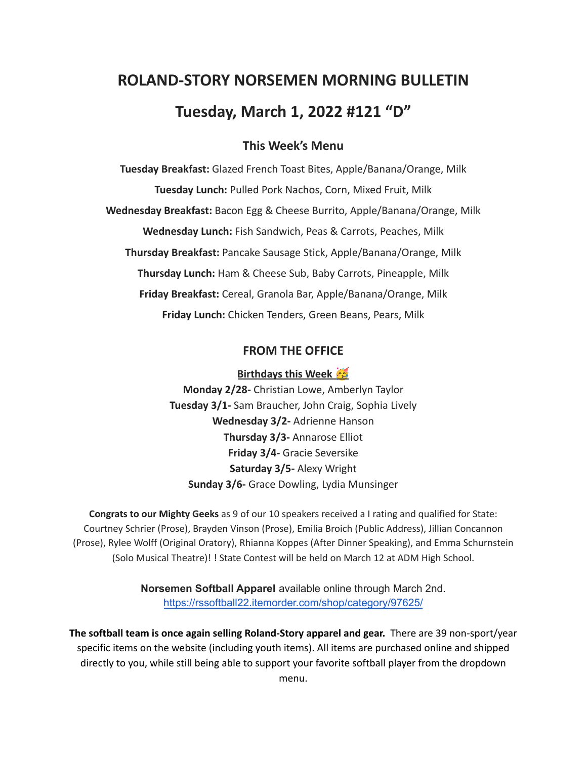# **ROLAND-STORY NORSEMEN MORNING BULLETIN Tuesday, March 1, 2022 #121 "D"**

# **This Week's Menu**

**Tuesday Breakfast:** Glazed French Toast Bites, Apple/Banana/Orange, Milk **Tuesday Lunch:** Pulled Pork Nachos, Corn, Mixed Fruit, Milk **Wednesday Breakfast:** Bacon Egg & Cheese Burrito, Apple/Banana/Orange, Milk **Wednesday Lunch:** Fish Sandwich, Peas & Carrots, Peaches, Milk **Thursday Breakfast:** Pancake Sausage Stick, Apple/Banana/Orange, Milk **Thursday Lunch:** Ham & Cheese Sub, Baby Carrots, Pineapple, Milk **Friday Breakfast:** Cereal, Granola Bar, Apple/Banana/Orange, Milk **Friday Lunch:** Chicken Tenders, Green Beans, Pears, Milk

## **FROM THE OFFICE**

#### **Birthdays this Week**

**Monday 2/28-** Christian Lowe, Amberlyn Taylor **Tuesday 3/1-** Sam Braucher, John Craig, Sophia Lively **Wednesday 3/2-** Adrienne Hanson **Thursday 3/3-** Annarose Elliot **Friday 3/4-** Gracie Seversike **Saturday 3/5-** Alexy Wright **Sunday 3/6-** Grace Dowling, Lydia Munsinger

**Congrats to our Mighty Geeks** as 9 of our 10 speakers received a I rating and qualified for State: Courtney Schrier (Prose), Brayden Vinson (Prose), Emilia Broich (Public Address), Jillian Concannon (Prose), Rylee Wolff (Original Oratory), Rhianna Koppes (After Dinner Speaking), and Emma Schurnstein (Solo Musical Theatre)! ! State Contest will be held on March 12 at ADM High School.

> **Norsemen Softball Apparel** available online through March 2nd. <https://rssoftball22.itemorder.com/shop/category/97625/>

**The softball team is once again selling Roland-Story apparel and gear.** There are 39 non-sport/year specific items on the website (including youth items). All items are purchased online and shipped directly to you, while still being able to support your favorite softball player from the dropdown menu.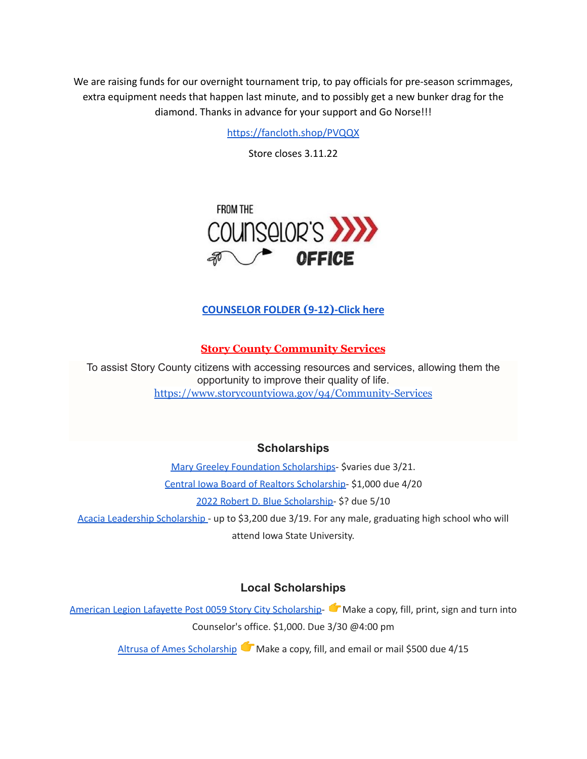We are raising funds for our overnight tournament trip, to pay officials for pre-season scrimmages, extra equipment needs that happen last minute, and to possibly get a new bunker drag for the diamond. Thanks in advance for your support and Go Norse!!!

<https://fancloth.shop/PVQQX>

Store closes 3.11.22



## **[COUNSELOR FOLDER](https://docs.google.com/document/d/1vmwczNPbDzXe9vFaG5LJMQ7NYDv-i4oQJHybqA65TUc/edit?usp=sharing) (9-12)-Click here**

#### **Story County Community Services**

To assist Story County citizens with accessing resources and services, allowing them the opportunity to improve their quality of life. <https://www.storycountyiowa.gov/94/Community-Services>

## **Scholarships**

Mary Greeley Foundation [Scholarships](https://docs.google.com/document/d/1cV2X1WgjAMIxvlQvS3xLxsQJRooZHcf7/edit?usp=sharing&ouid=117077516262516080506&rtpof=true&sd=true)- \$varies due 3/21. Central Iowa Board of Realtors [Scholarship-](https://docs.google.com/document/d/118FuzzOexkI7TbBkChW_nQX4xH_6ldWOWNBAYiJ0nF4/edit?usp=sharing) \$1,000 due 4/20 2022 Robert D. Blue [Scholarship-](https://www.rdblue.org/) \$? due 5/10 Acacia Leadership [Scholarship](https://acacia-iowastate.org/?page_id=137) - up to \$3,200 due 3/19. For any male, graduating high school who will

attend Iowa State University.

#### **Local Scholarships**

American Legion Lafayette Post 0059 Story City [Scholarship-](https://docs.google.com/document/d/1l-XzWNNfwZmA3zDkeW8VPeqqzYTnZ3IFLE4h0i05GGI/edit?usp=sharing) Make a copy, fill, print, sign and turn into Counselor's office. \$1,000. Due 3/30 @4:00 pm

Altrusa of Ames [Scholarship](https://docs.google.com/document/d/1pwO_l6ZBSDlI2aYi464Wp_1Ha8nwdfwR/edit?usp=sharing&ouid=117077516262516080506&rtpof=true&sd=true) Make a copy, fill, and email or mail \$500 due 4/15